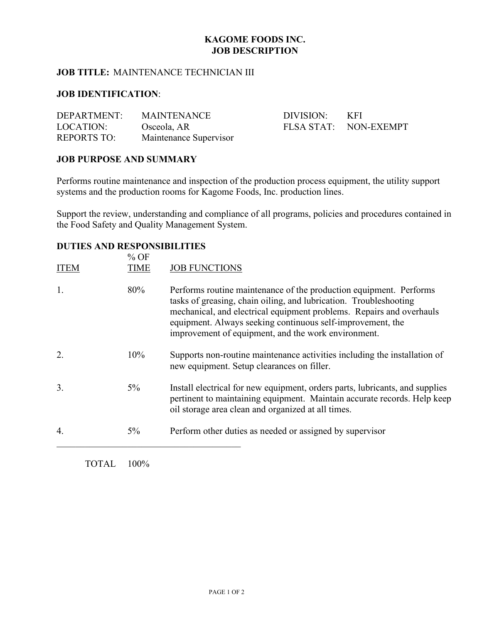# **KAGOME FOODS INC. JOB DESCRIPTION**

## **JOB TITLE:** MAINTENANCE TECHNICIAN III

## **JOB IDENTIFICATION**:

| DEPARTMENT:        | <b>MAINTENANCE</b>     | DIVISION: | – KFI                 |
|--------------------|------------------------|-----------|-----------------------|
| LOCATION:          | Osceola, AR            |           | FLSA STAT: NON-EXEMPT |
| <b>REPORTS TO:</b> | Maintenance Supervisor |           |                       |

### **JOB PURPOSE AND SUMMARY**

Performs routine maintenance and inspection of the production process equipment, the utility support systems and the production rooms for Kagome Foods, Inc. production lines.

Support the review, understanding and compliance of all programs, policies and procedures contained in the Food Safety and Quality Management System.

### **DUTIES AND RESPONSIBILITIES**

| <b>ITEM</b> | $%$ OF<br><b>TIME</b> | <b>JOB FUNCTIONS</b>                                                                                                                                                                                                                                                                                                                 |
|-------------|-----------------------|--------------------------------------------------------------------------------------------------------------------------------------------------------------------------------------------------------------------------------------------------------------------------------------------------------------------------------------|
| 1.          | 80%                   | Performs routine maintenance of the production equipment. Performs<br>tasks of greasing, chain oiling, and lubrication. Troubleshooting<br>mechanical, and electrical equipment problems. Repairs and overhauls<br>equipment. Always seeking continuous self-improvement, the<br>improvement of equipment, and the work environment. |
| 2.          | 10%                   | Supports non-routine maintenance activities including the installation of<br>new equipment. Setup clearances on filler.                                                                                                                                                                                                              |
| 3.          | $5\%$                 | Install electrical for new equipment, orders parts, lubricants, and supplies<br>pertinent to maintaining equipment. Maintain accurate records. Help keep<br>oil storage area clean and organized at all times.                                                                                                                       |
| 4.          | $5\%$                 | Perform other duties as needed or assigned by supervisor                                                                                                                                                                                                                                                                             |

TOTAL 100%